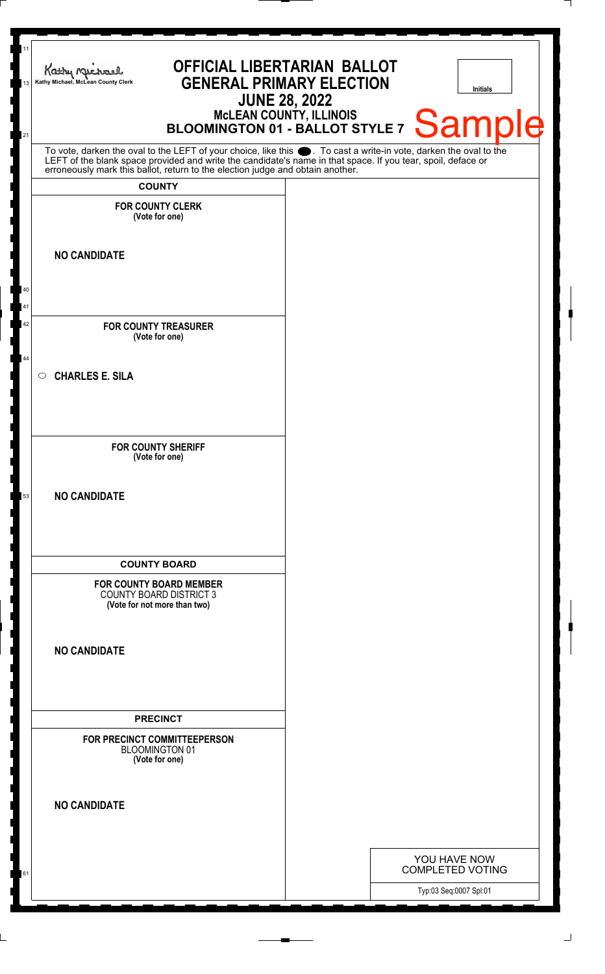| Kathy Michael<br>Kathy Michael, McLean County Clerk                                              | <b>OFFICIAL LIBERTARIAN BALLOT</b><br><b>GENERAL PRIMARY ELECTION</b><br><b>Initials</b>                                                                                                                                             |
|--------------------------------------------------------------------------------------------------|--------------------------------------------------------------------------------------------------------------------------------------------------------------------------------------------------------------------------------------|
|                                                                                                  | <b>JUNE 28, 2022</b><br>McLEAN COUNTY, ILLINOIS<br>BLOOMINGTON 01 - BALLOT STYLE 7                                                                                                                                                   |
|                                                                                                  | Sample                                                                                                                                                                                                                               |
| erroneously mark this ballot, return to the election judge and obtain another.                   | To vote, darken the oval to the LEFT of your choice, like this $\bullet$ . To cast a write-in vote, darken the oval to the LEFT of the blank space provided and write the candidate's name in that space. If you tear, spoil, deface |
| <b>COUNTY</b><br><b>FOR COUNTY CLERK</b>                                                         |                                                                                                                                                                                                                                      |
| (Vote for one)                                                                                   |                                                                                                                                                                                                                                      |
| <b>NO CANDIDATE</b>                                                                              |                                                                                                                                                                                                                                      |
|                                                                                                  |                                                                                                                                                                                                                                      |
|                                                                                                  |                                                                                                                                                                                                                                      |
| <b>FOR COUNTY TREASURER</b><br>(Vote for one)                                                    |                                                                                                                                                                                                                                      |
|                                                                                                  |                                                                                                                                                                                                                                      |
| <b>CHARLES E. SILA</b><br>$\circ$                                                                |                                                                                                                                                                                                                                      |
|                                                                                                  |                                                                                                                                                                                                                                      |
| <b>FOR COUNTY SHERIFF</b>                                                                        |                                                                                                                                                                                                                                      |
| (Vote for one)                                                                                   |                                                                                                                                                                                                                                      |
| <b>NO CANDIDATE</b>                                                                              |                                                                                                                                                                                                                                      |
|                                                                                                  |                                                                                                                                                                                                                                      |
|                                                                                                  |                                                                                                                                                                                                                                      |
| <b>COUNTY BOARD</b>                                                                              |                                                                                                                                                                                                                                      |
| <b>FOR COUNTY BOARD MEMBER</b><br><b>COUNTY BOARD DISTRICT 3</b><br>(Vote for not more than two) |                                                                                                                                                                                                                                      |
|                                                                                                  |                                                                                                                                                                                                                                      |
| <b>NO CANDIDATE</b>                                                                              |                                                                                                                                                                                                                                      |
|                                                                                                  |                                                                                                                                                                                                                                      |
|                                                                                                  |                                                                                                                                                                                                                                      |
| <b>PRECINCT</b>                                                                                  |                                                                                                                                                                                                                                      |
| FOR PRECINCT COMMITTEEPERSON<br><b>BLOOMINGTON 01</b><br>(Vote for one)                          |                                                                                                                                                                                                                                      |
|                                                                                                  |                                                                                                                                                                                                                                      |
| <b>NO CANDIDATE</b>                                                                              |                                                                                                                                                                                                                                      |
|                                                                                                  |                                                                                                                                                                                                                                      |
|                                                                                                  | YOU HAVE NOW<br><b>COMPLETED VOTING</b>                                                                                                                                                                                              |
|                                                                                                  | Typ:03 Seq:0007 Spl:01                                                                                                                                                                                                               |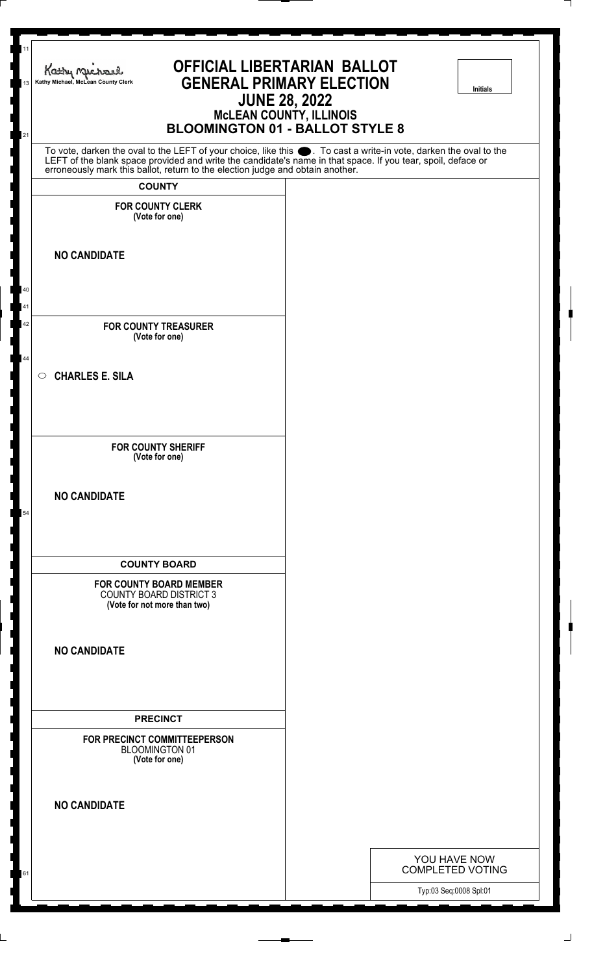| Kathy Michael<br>Kathy Michael, McLean County Clerk                                                                                                                                                                                                                                                                    | <b>OFFICIAL LIBERTARIAN BALLOT</b><br><b>GENERAL PRIMARY ELECTION</b><br><b>Initials</b><br><b>JUNE 28, 2022</b><br><b>MCLEAN COUNTY, ILLINOIS</b><br><b>BLOOMINGTON 01 - BALLOT STYLE 8</b> |
|------------------------------------------------------------------------------------------------------------------------------------------------------------------------------------------------------------------------------------------------------------------------------------------------------------------------|----------------------------------------------------------------------------------------------------------------------------------------------------------------------------------------------|
| To vote, darken the oval to the LEFT of your choice, like this $\bullet$ . To cast a write-in vote, darken the oval to the LEFT of the blank space provided and write the candidate's name in that space. If you tear, spoil, deface<br>erroneously mark this ballot, return to the election judge and obtain another. |                                                                                                                                                                                              |
| <b>COUNTY</b>                                                                                                                                                                                                                                                                                                          |                                                                                                                                                                                              |
| <b>FOR COUNTY CLERK</b><br>(Vote for one)                                                                                                                                                                                                                                                                              |                                                                                                                                                                                              |
| <b>NO CANDIDATE</b>                                                                                                                                                                                                                                                                                                    |                                                                                                                                                                                              |
| <b>FOR COUNTY TREASURER</b><br>(Vote for one)                                                                                                                                                                                                                                                                          |                                                                                                                                                                                              |
| <b>CHARLES E. SILA</b><br>$\circ$                                                                                                                                                                                                                                                                                      |                                                                                                                                                                                              |
| <b>FOR COUNTY SHERIFF</b><br>(Vote for one)                                                                                                                                                                                                                                                                            |                                                                                                                                                                                              |
| <b>NO CANDIDATE</b>                                                                                                                                                                                                                                                                                                    |                                                                                                                                                                                              |
| <b>COUNTY BOARD</b>                                                                                                                                                                                                                                                                                                    |                                                                                                                                                                                              |
| <b>FOR COUNTY BOARD MEMBER</b><br><b>COUNTY BOARD DISTRICT 3</b><br>(Vote for not more than two)                                                                                                                                                                                                                       |                                                                                                                                                                                              |
| <b>NO CANDIDATE</b>                                                                                                                                                                                                                                                                                                    |                                                                                                                                                                                              |
| <b>PRECINCT</b>                                                                                                                                                                                                                                                                                                        |                                                                                                                                                                                              |
| FOR PRECINCT COMMITTEEPERSON<br><b>BLOOMINGTON 01</b><br>(Vote for one)                                                                                                                                                                                                                                                |                                                                                                                                                                                              |
| <b>NO CANDIDATE</b>                                                                                                                                                                                                                                                                                                    |                                                                                                                                                                                              |

11

13

21

40 41 42

44

54

61

YOU HAVE NOW COMPLETED VOTING

Typ:03 Seq:0008 Spl:01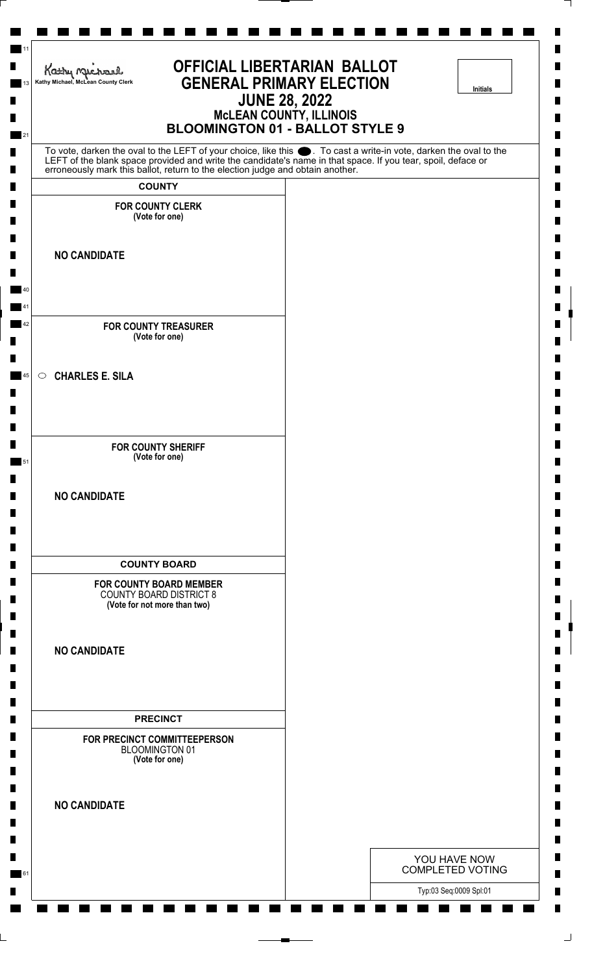| <b>OFFICIAL LIBERTARIAN BALLOT</b><br>Kathy Michael<br><b>GENERAL PRIMARY ELECTION</b><br>Kathy Michael, McLean County Clerk<br>Initials<br><b>JUNE 28, 2022</b><br><b>MCLEAN COUNTY, ILLINOIS</b><br><b>BLOOMINGTON 01 - BALLOT STYLE 9</b>                                                                       |  |  |                                         |  |
|--------------------------------------------------------------------------------------------------------------------------------------------------------------------------------------------------------------------------------------------------------------------------------------------------------------------|--|--|-----------------------------------------|--|
| To vote, darken the oval to the LEFT of your choice, like this . To cast a write-in vote, darken the oval to the<br>LEFT of the blank space provided and write the candidate's name in that space. If you tear, spoil, deface or<br>erroneously mark this ballot, return to the election judge and obtain another. |  |  |                                         |  |
| <b>COUNTY</b>                                                                                                                                                                                                                                                                                                      |  |  |                                         |  |
| <b>FOR COUNTY CLERK</b><br>(Vote for one)                                                                                                                                                                                                                                                                          |  |  |                                         |  |
| <b>NO CANDIDATE</b>                                                                                                                                                                                                                                                                                                |  |  |                                         |  |
| <b>FOR COUNTY TREASURER</b><br>(Vote for one)                                                                                                                                                                                                                                                                      |  |  |                                         |  |
| $\circ$ CHARLES E. SILA                                                                                                                                                                                                                                                                                            |  |  |                                         |  |
| <b>FOR COUNTY SHERIFF</b><br>(Vote for one)                                                                                                                                                                                                                                                                        |  |  |                                         |  |
| <b>NO CANDIDATE</b>                                                                                                                                                                                                                                                                                                |  |  |                                         |  |
| <b>COUNTY BOARD</b>                                                                                                                                                                                                                                                                                                |  |  |                                         |  |
| <b>FOR COUNTY BOARD MEMBER</b><br><b>COUNTY BOARD DISTRICT 8</b><br>(Vote for not more than two)                                                                                                                                                                                                                   |  |  |                                         |  |
| <b>NO CANDIDATE</b>                                                                                                                                                                                                                                                                                                |  |  |                                         |  |
| <b>PRECINCT</b>                                                                                                                                                                                                                                                                                                    |  |  |                                         |  |
| FOR PRECINCT COMMITTEEPERSON<br>BLOOMINGTON 01<br>(Vote for one)                                                                                                                                                                                                                                                   |  |  |                                         |  |
| <b>NO CANDIDATE</b>                                                                                                                                                                                                                                                                                                |  |  |                                         |  |
|                                                                                                                                                                                                                                                                                                                    |  |  | YOU HAVE NOW<br><b>COMPLETED VOTING</b> |  |
|                                                                                                                                                                                                                                                                                                                    |  |  | Typ:03 Seq:0009 Spl:01                  |  |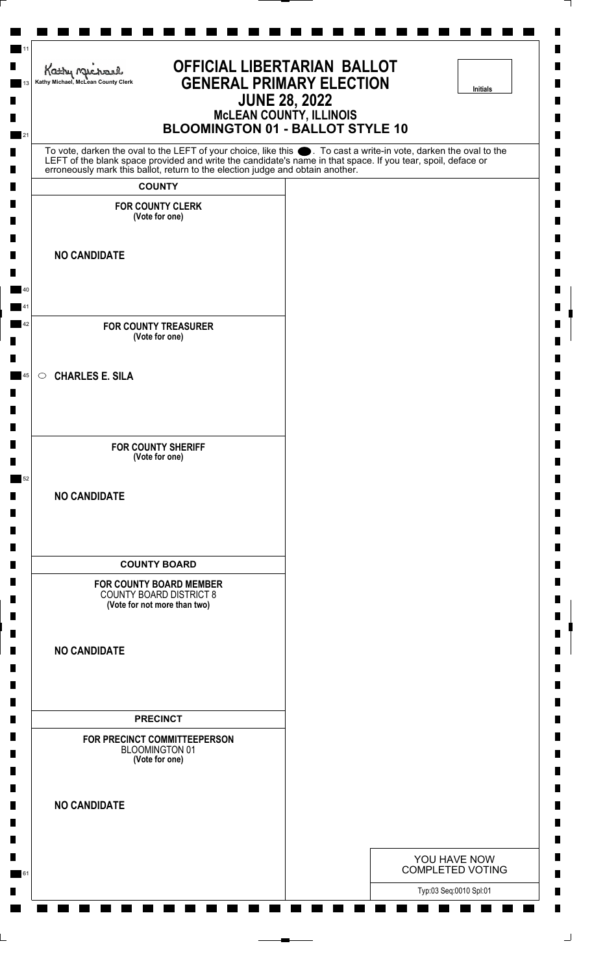| <b>OFFICIAL LIBERTARIAN BALLOT</b><br>Kathy nucharl<br><b>GENERAL PRIMARY ELECTION</b><br>Kathy Michael, McLean County Clerk<br>Initials<br><b>JUNE 28, 2022</b><br><b>McLEAN COUNTY, ILLINOIS</b><br><b>BLOOMINGTON 01 - BALLOT STYLE 10</b> |                                                                                                                  |  |  |  |
|-----------------------------------------------------------------------------------------------------------------------------------------------------------------------------------------------------------------------------------------------|------------------------------------------------------------------------------------------------------------------|--|--|--|
| LEFT of the blank space provided and write the candidate's name in that space. If you tear, spoil, deface or                                                                                                                                  | To vote, darken the oval to the LEFT of your choice, like this . To cast a write-in vote, darken the oval to the |  |  |  |
| erroneously mark this ballot, return to the election judge and obtain another.<br><b>COUNTY</b>                                                                                                                                               |                                                                                                                  |  |  |  |
| <b>FOR COUNTY CLERK</b><br>(Vote for one)                                                                                                                                                                                                     |                                                                                                                  |  |  |  |
| <b>NO CANDIDATE</b>                                                                                                                                                                                                                           |                                                                                                                  |  |  |  |
| <b>FOR COUNTY TREASURER</b><br>(Vote for one)                                                                                                                                                                                                 |                                                                                                                  |  |  |  |
| <b>CHARLES E. SILA</b><br>$\circ$                                                                                                                                                                                                             |                                                                                                                  |  |  |  |
| <b>FOR COUNTY SHERIFF</b><br>(Vote for one)                                                                                                                                                                                                   |                                                                                                                  |  |  |  |
| <b>NO CANDIDATE</b>                                                                                                                                                                                                                           |                                                                                                                  |  |  |  |
| <b>COUNTY BOARD</b>                                                                                                                                                                                                                           |                                                                                                                  |  |  |  |
| <b>FOR COUNTY BOARD MEMBER</b><br><b>COUNTY BOARD DISTRICT 8</b><br>(Vote for not more than two)                                                                                                                                              |                                                                                                                  |  |  |  |
| <b>NO CANDIDATE</b>                                                                                                                                                                                                                           |                                                                                                                  |  |  |  |
| <b>PRECINCT</b>                                                                                                                                                                                                                               |                                                                                                                  |  |  |  |
| FOR PRECINCT COMMITTEEPERSON<br><b>BLOOMINGTON 01</b><br>(Vote for one)                                                                                                                                                                       |                                                                                                                  |  |  |  |
| <b>NO CANDIDATE</b>                                                                                                                                                                                                                           |                                                                                                                  |  |  |  |
|                                                                                                                                                                                                                                               | YOU HAVE NOW<br><b>COMPLETED VOTING</b>                                                                          |  |  |  |
|                                                                                                                                                                                                                                               | Typ:03 Seq:0010 Spl:01                                                                                           |  |  |  |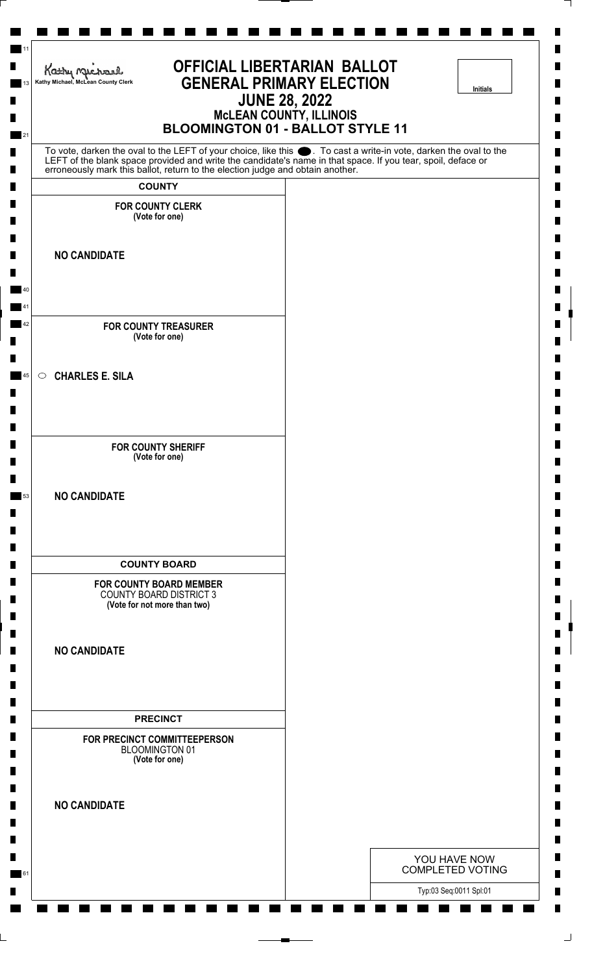| <b>OFFICIAL LIBERTARIAN BALLOT</b><br>Kathy nucharl<br><b>GENERAL PRIMARY ELECTION</b><br>Kathy Michael, McLean County Clerk<br>Initials<br><b>JUNE 28, 2022</b><br><b>McLEAN COUNTY, ILLINOIS</b><br><b>BLOOMINGTON 01 - BALLOT STYLE 11</b> |                                                                                                                  |  |  |  |
|-----------------------------------------------------------------------------------------------------------------------------------------------------------------------------------------------------------------------------------------------|------------------------------------------------------------------------------------------------------------------|--|--|--|
| LEFT of the blank space provided and write the candidate's name in that space. If you tear, spoil, deface or                                                                                                                                  | To vote, darken the oval to the LEFT of your choice, like this . To cast a write-in vote, darken the oval to the |  |  |  |
| erroneously mark this ballot, return to the election judge and obtain another.<br><b>COUNTY</b>                                                                                                                                               |                                                                                                                  |  |  |  |
| <b>FOR COUNTY CLERK</b><br>(Vote for one)                                                                                                                                                                                                     |                                                                                                                  |  |  |  |
| <b>NO CANDIDATE</b>                                                                                                                                                                                                                           |                                                                                                                  |  |  |  |
| <b>FOR COUNTY TREASURER</b><br>(Vote for one)                                                                                                                                                                                                 |                                                                                                                  |  |  |  |
| <b>CHARLES E. SILA</b><br>$\circ$                                                                                                                                                                                                             |                                                                                                                  |  |  |  |
| <b>FOR COUNTY SHERIFF</b><br>(Vote for one)                                                                                                                                                                                                   |                                                                                                                  |  |  |  |
| <b>NO CANDIDATE</b>                                                                                                                                                                                                                           |                                                                                                                  |  |  |  |
| <b>COUNTY BOARD</b>                                                                                                                                                                                                                           |                                                                                                                  |  |  |  |
| <b>FOR COUNTY BOARD MEMBER</b><br><b>COUNTY BOARD DISTRICT 3</b><br>(Vote for not more than two)                                                                                                                                              |                                                                                                                  |  |  |  |
| <b>NO CANDIDATE</b>                                                                                                                                                                                                                           |                                                                                                                  |  |  |  |
| <b>PRECINCT</b>                                                                                                                                                                                                                               |                                                                                                                  |  |  |  |
| FOR PRECINCT COMMITTEEPERSON<br><b>BLOOMINGTON 01</b><br>(Vote for one)                                                                                                                                                                       |                                                                                                                  |  |  |  |
| <b>NO CANDIDATE</b>                                                                                                                                                                                                                           |                                                                                                                  |  |  |  |
|                                                                                                                                                                                                                                               | YOU HAVE NOW<br><b>COMPLETED VOTING</b>                                                                          |  |  |  |
|                                                                                                                                                                                                                                               | Typ:03 Seq:0011 Spl:01                                                                                           |  |  |  |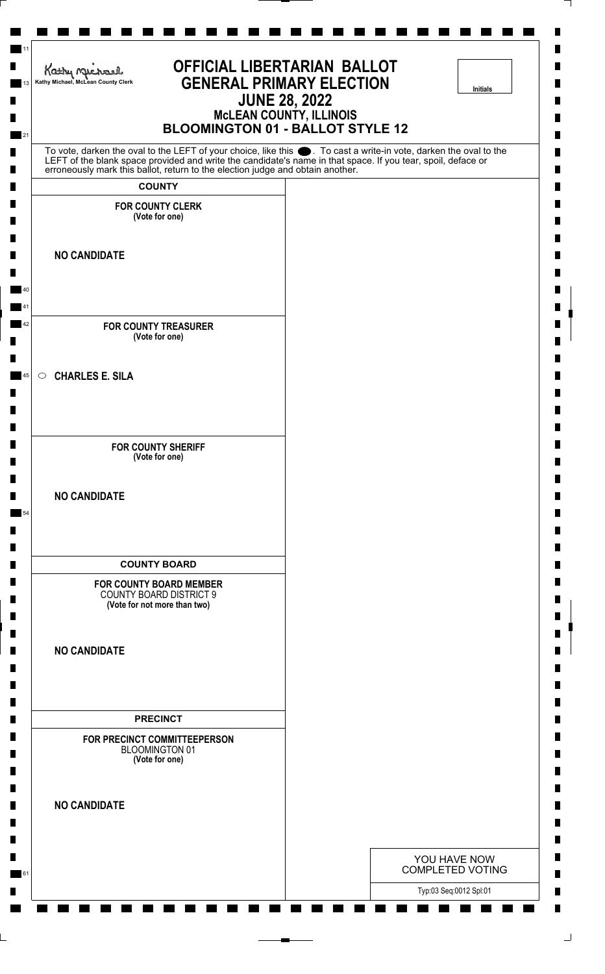| <b>OFFICIAL LIBERTARIAN BALLOT</b><br>Kathy nucharl<br><b>GENERAL PRIMARY ELECTION</b><br>Kathy Michael, McLean County Clerk<br>Initials<br><b>JUNE 28, 2022</b><br><b>McLEAN COUNTY, ILLINOIS</b><br><b>BLOOMINGTON 01 - BALLOT STYLE 12</b> |  |  |                                         |  |
|-----------------------------------------------------------------------------------------------------------------------------------------------------------------------------------------------------------------------------------------------|--|--|-----------------------------------------|--|
| To vote, darken the oval to the LEFT of your choice, like this . To cast a write-in vote, darken the oval to the<br>LEFT of the blank space provided and write the candidate's name in that space. If you tear, spoil, deface or              |  |  |                                         |  |
| erroneously mark this ballot, return to the election judge and obtain another.<br><b>COUNTY</b>                                                                                                                                               |  |  |                                         |  |
| <b>FOR COUNTY CLERK</b><br>(Vote for one)                                                                                                                                                                                                     |  |  |                                         |  |
|                                                                                                                                                                                                                                               |  |  |                                         |  |
| <b>NO CANDIDATE</b>                                                                                                                                                                                                                           |  |  |                                         |  |
| <b>FOR COUNTY TREASURER</b><br>(Vote for one)                                                                                                                                                                                                 |  |  |                                         |  |
| <b>CHARLES E. SILA</b><br>$\circ$                                                                                                                                                                                                             |  |  |                                         |  |
| <b>FOR COUNTY SHERIFF</b><br>(Vote for one)                                                                                                                                                                                                   |  |  |                                         |  |
| <b>NO CANDIDATE</b>                                                                                                                                                                                                                           |  |  |                                         |  |
| <b>COUNTY BOARD</b>                                                                                                                                                                                                                           |  |  |                                         |  |
| <b>FOR COUNTY BOARD MEMBER</b><br><b>COUNTY BOARD DISTRICT 9</b><br>(Vote for not more than two)                                                                                                                                              |  |  |                                         |  |
| <b>NO CANDIDATE</b>                                                                                                                                                                                                                           |  |  |                                         |  |
| <b>PRECINCT</b>                                                                                                                                                                                                                               |  |  |                                         |  |
| FOR PRECINCT COMMITTEEPERSON<br><b>BLOOMINGTON 01</b><br>(Vote for one)                                                                                                                                                                       |  |  |                                         |  |
| <b>NO CANDIDATE</b>                                                                                                                                                                                                                           |  |  |                                         |  |
|                                                                                                                                                                                                                                               |  |  | YOU HAVE NOW<br><b>COMPLETED VOTING</b> |  |
|                                                                                                                                                                                                                                               |  |  | Typ:03 Seq:0012 Spl:01                  |  |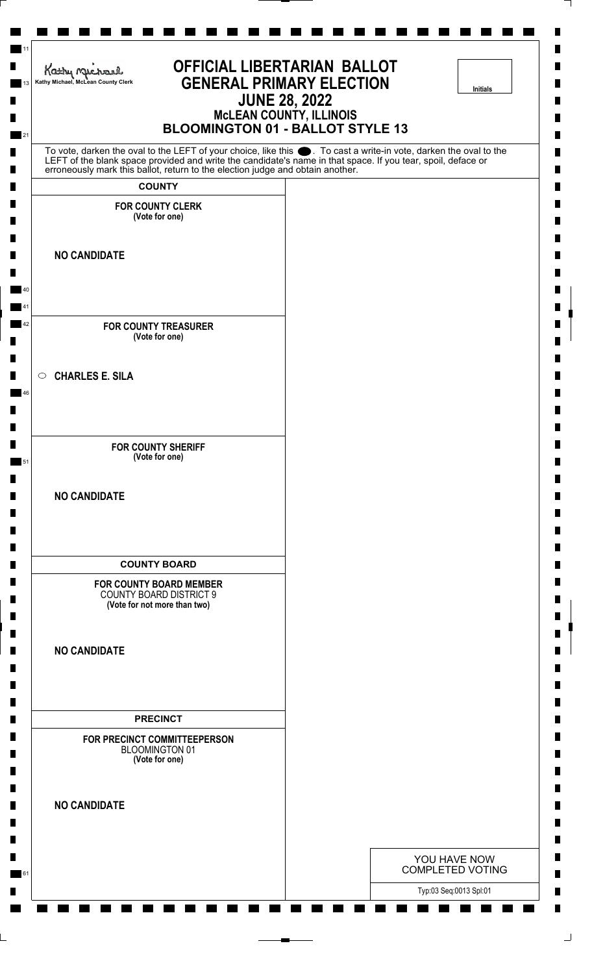| <b>OFFICIAL LIBERTARIAN BALLOT</b><br>Kathy Michael<br><b>GENERAL PRIMARY ELECTION</b><br>Kathy Michael, McLean County Clerk<br>Initials<br><b>JUNE 28, 2022</b><br><b>McLEAN COUNTY, ILLINOIS</b><br><b>BLOOMINGTON 01 - BALLOT STYLE 13</b>                                                                          |  |  |                                         |  |
|------------------------------------------------------------------------------------------------------------------------------------------------------------------------------------------------------------------------------------------------------------------------------------------------------------------------|--|--|-----------------------------------------|--|
| To vote, darken the oval to the LEFT of your choice, like this $\bullet$ . To cast a write-in vote, darken the oval to the LEFT of the blank space provided and write the candidate's name in that space. If you tear, spoil, deface<br>erroneously mark this ballot, return to the election judge and obtain another. |  |  |                                         |  |
| <b>COUNTY</b>                                                                                                                                                                                                                                                                                                          |  |  |                                         |  |
| <b>FOR COUNTY CLERK</b><br>(Vote for one)                                                                                                                                                                                                                                                                              |  |  |                                         |  |
| <b>NO CANDIDATE</b>                                                                                                                                                                                                                                                                                                    |  |  |                                         |  |
| <b>FOR COUNTY TREASURER</b><br>(Vote for one)                                                                                                                                                                                                                                                                          |  |  |                                         |  |
| $\circ$ CHARLES E. SILA                                                                                                                                                                                                                                                                                                |  |  |                                         |  |
| <b>FOR COUNTY SHERIFF</b><br>(Vote for one)                                                                                                                                                                                                                                                                            |  |  |                                         |  |
| <b>NO CANDIDATE</b>                                                                                                                                                                                                                                                                                                    |  |  |                                         |  |
| <b>COUNTY BOARD</b>                                                                                                                                                                                                                                                                                                    |  |  |                                         |  |
| <b>FOR COUNTY BOARD MEMBER</b><br><b>COUNTY BOARD DISTRICT 9</b><br>(Vote for not more than two)                                                                                                                                                                                                                       |  |  |                                         |  |
| <b>NO CANDIDATE</b>                                                                                                                                                                                                                                                                                                    |  |  |                                         |  |
| <b>PRECINCT</b>                                                                                                                                                                                                                                                                                                        |  |  |                                         |  |
| FOR PRECINCT COMMITTEEPERSON<br><b>BLOOMINGTON 01</b><br>(Vote for one)                                                                                                                                                                                                                                                |  |  |                                         |  |
| <b>NO CANDIDATE</b>                                                                                                                                                                                                                                                                                                    |  |  |                                         |  |
|                                                                                                                                                                                                                                                                                                                        |  |  | YOU HAVE NOW<br><b>COMPLETED VOTING</b> |  |
|                                                                                                                                                                                                                                                                                                                        |  |  | Typ:03 Seq:0013 Spl:01                  |  |